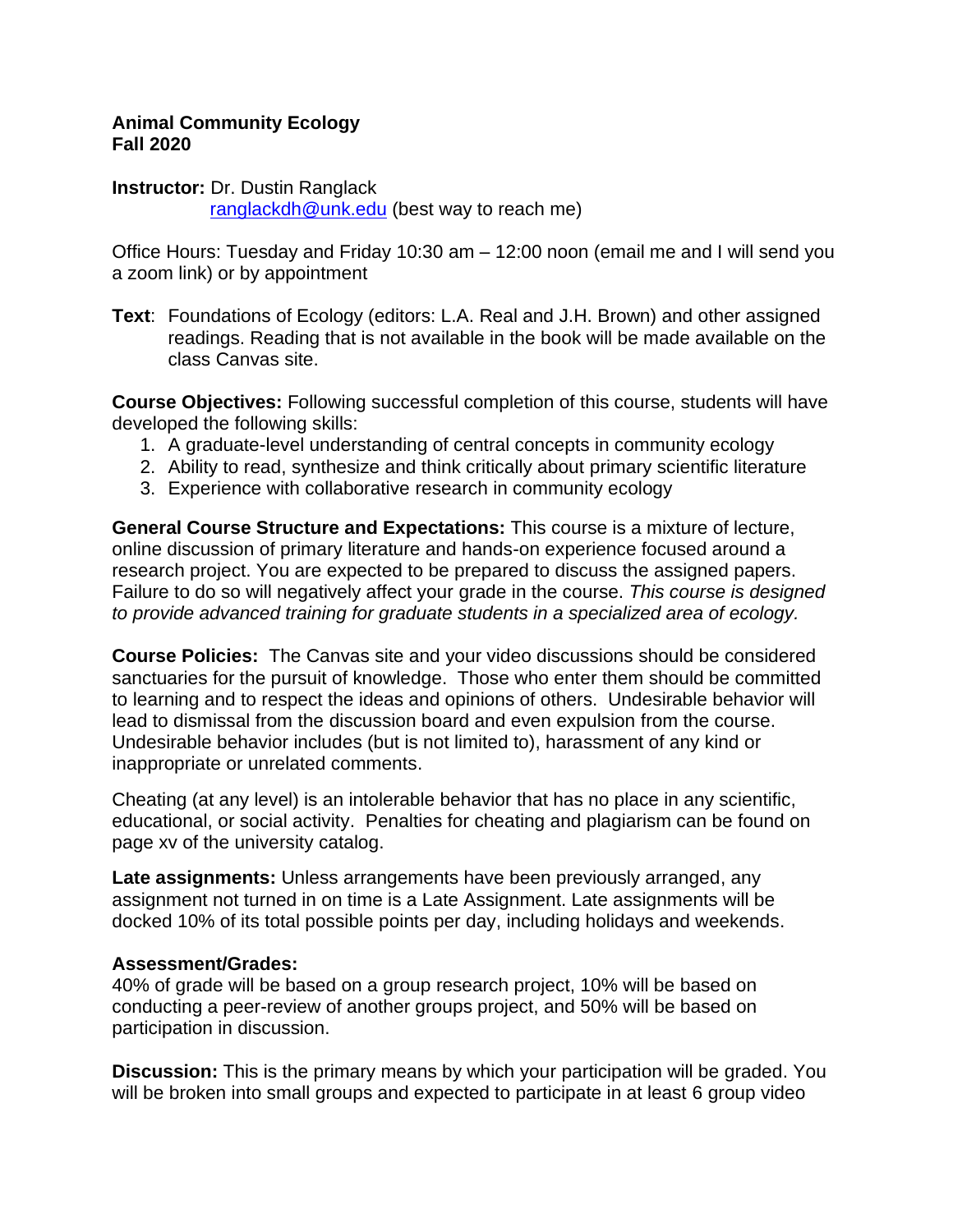### **Animal Community Ecology Fall 2020**

**Instructor:** Dr. Dustin Ranglack [ranglackdh@unk.edu](mailto:morgane@biology.usu.edu) (best way to reach me)

Office Hours: Tuesday and Friday 10:30 am – 12:00 noon (email me and I will send you a zoom link) or by appointment

**Text**: Foundations of Ecology (editors: L.A. Real and J.H. Brown) and other assigned readings. Reading that is not available in the book will be made available on the class Canvas site.

**Course Objectives:** Following successful completion of this course, students will have developed the following skills:

- 1. A graduate-level understanding of central concepts in community ecology
- 2. Ability to read, synthesize and think critically about primary scientific literature
- 3. Experience with collaborative research in community ecology

**General Course Structure and Expectations:** This course is a mixture of lecture, online discussion of primary literature and hands-on experience focused around a research project. You are expected to be prepared to discuss the assigned papers. Failure to do so will negatively affect your grade in the course. *This course is designed to provide advanced training for graduate students in a specialized area of ecology.* 

**Course Policies:** The Canvas site and your video discussions should be considered sanctuaries for the pursuit of knowledge. Those who enter them should be committed to learning and to respect the ideas and opinions of others. Undesirable behavior will lead to dismissal from the discussion board and even expulsion from the course. Undesirable behavior includes (but is not limited to), harassment of any kind or inappropriate or unrelated comments.

Cheating (at any level) is an intolerable behavior that has no place in any scientific, educational, or social activity. Penalties for cheating and plagiarism can be found on page xv of the university catalog.

**Late assignments:** Unless arrangements have been previously arranged, any assignment not turned in on time is a Late Assignment. Late assignments will be docked 10% of its total possible points per day, including holidays and weekends.

# **Assessment/Grades:**

40% of grade will be based on a group research project, 10% will be based on conducting a peer-review of another groups project, and 50% will be based on participation in discussion.

**Discussion:** This is the primary means by which your participation will be graded. You will be broken into small groups and expected to participate in at least 6 group video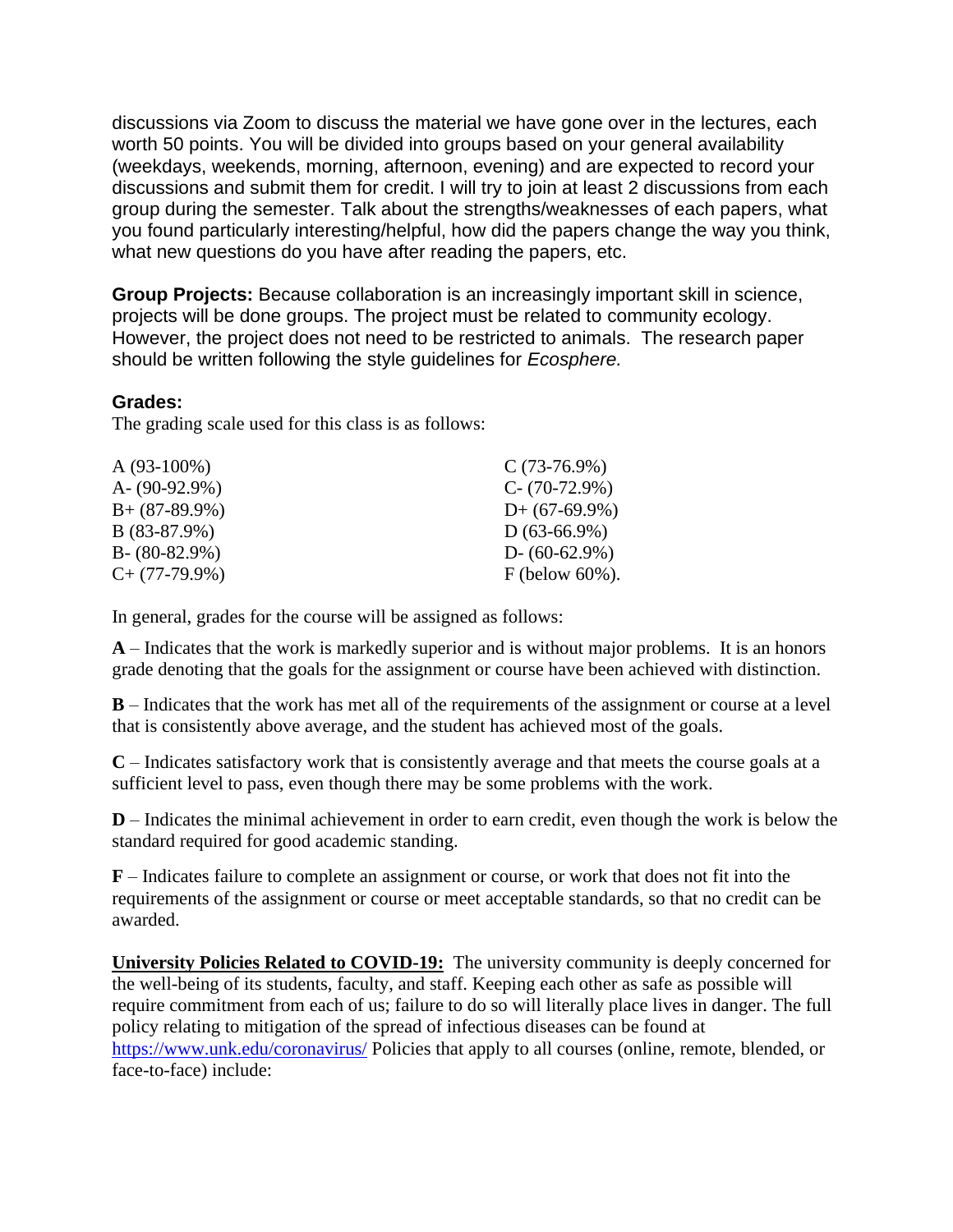discussions via Zoom to discuss the material we have gone over in the lectures, each worth 50 points. You will be divided into groups based on your general availability (weekdays, weekends, morning, afternoon, evening) and are expected to record your discussions and submit them for credit. I will try to join at least 2 discussions from each group during the semester. Talk about the strengths/weaknesses of each papers, what you found particularly interesting/helpful, how did the papers change the way you think, what new questions do you have after reading the papers, etc.

**Group Projects:** Because collaboration is an increasingly important skill in science, projects will be done groups. The project must be related to community ecology. However, the project does not need to be restricted to animals. The research paper should be written following the style guidelines for *Ecosphere.*

### **Grades:**

The grading scale used for this class is as follows:

| $A(93-100\%)$     | $C(73-76.9%)$     |
|-------------------|-------------------|
| A- $(90-92.9\%)$  | $C - (70-72.9%)$  |
| $B + (87-89.9\%)$ | $D+$ (67-69.9%)   |
| $B(83-87.9%)$     | $D(63-66.9\%)$    |
| $B - (80-82.9\%)$ | $D - (60-62.9\%)$ |
| $C+$ (77-79.9%)   | $F$ (below 60%).  |

In general, grades for the course will be assigned as follows:

**A** – Indicates that the work is markedly superior and is without major problems. It is an honors grade denoting that the goals for the assignment or course have been achieved with distinction.

**B** – Indicates that the work has met all of the requirements of the assignment or course at a level that is consistently above average, and the student has achieved most of the goals.

**C** – Indicates satisfactory work that is consistently average and that meets the course goals at a sufficient level to pass, even though there may be some problems with the work.

**D** – Indicates the minimal achievement in order to earn credit, even though the work is below the standard required for good academic standing.

**F** – Indicates failure to complete an assignment or course, or work that does not fit into the requirements of the assignment or course or meet acceptable standards, so that no credit can be awarded.

**University Policies Related to COVID-19:** The university community is deeply concerned for the well-being of its students, faculty, and staff. Keeping each other as safe as possible will require commitment from each of us; failure to do so will literally place lives in danger. The full policy relating to mitigation of the spread of infectious diseases can be found at <https://www.unk.edu/coronavirus/> Policies that apply to all courses (online, remote, blended, or face-to-face) include: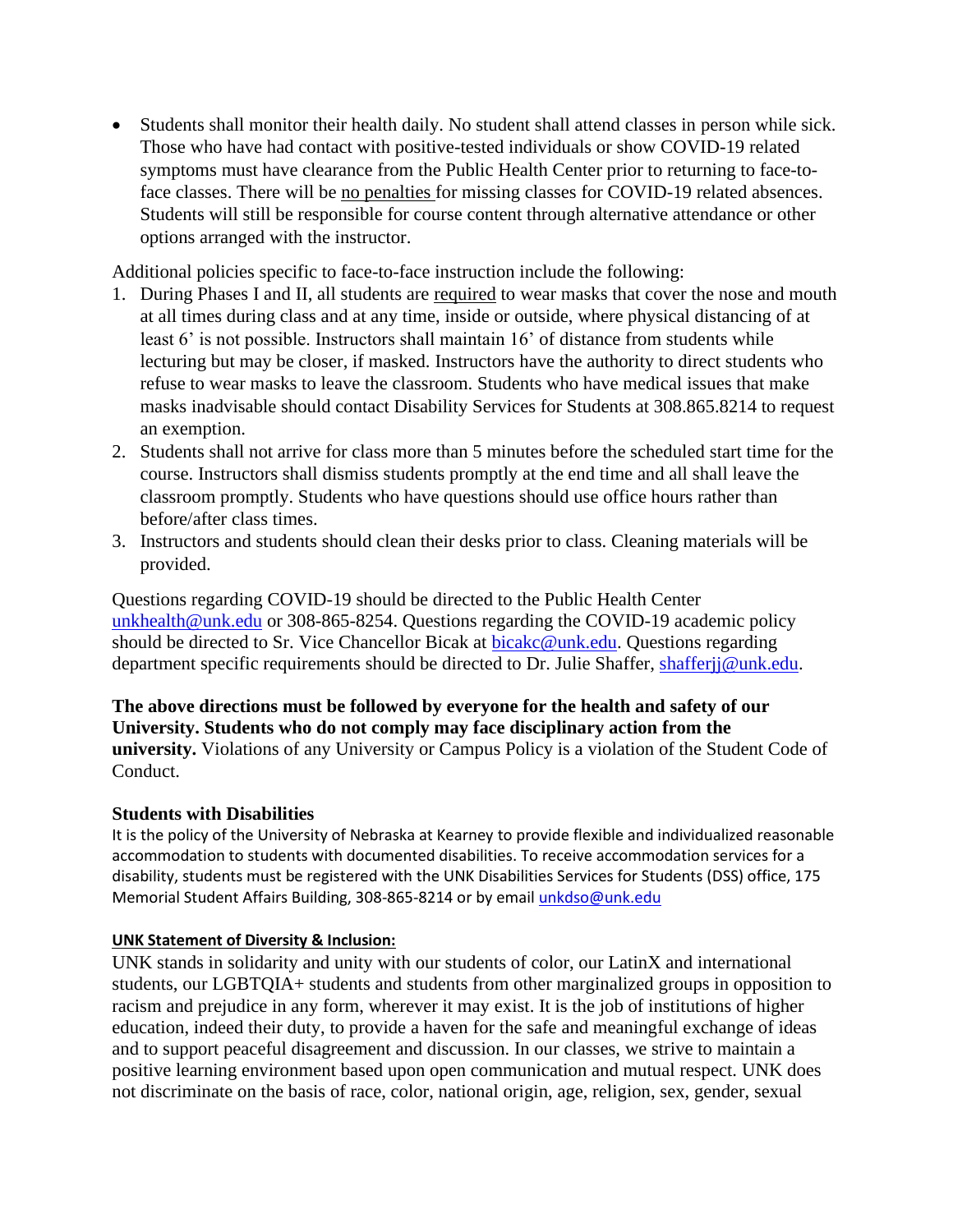• Students shall monitor their health daily. No student shall attend classes in person while sick. Those who have had contact with positive-tested individuals or show COVID-19 related symptoms must have clearance from the Public Health Center prior to returning to face-toface classes. There will be no penalties for missing classes for COVID-19 related absences. Students will still be responsible for course content through alternative attendance or other options arranged with the instructor.

Additional policies specific to face-to-face instruction include the following:

- 1. During Phases I and II, all students are required to wear masks that cover the nose and mouth at all times during class and at any time, inside or outside, where physical distancing of at least 6' is not possible. Instructors shall maintain 16' of distance from students while lecturing but may be closer, if masked. Instructors have the authority to direct students who refuse to wear masks to leave the classroom. Students who have medical issues that make masks inadvisable should contact Disability Services for Students at 308.865.8214 to request an exemption.
- 2. Students shall not arrive for class more than 5 minutes before the scheduled start time for the course. Instructors shall dismiss students promptly at the end time and all shall leave the classroom promptly. Students who have questions should use office hours rather than before/after class times.
- 3. Instructors and students should clean their desks prior to class. Cleaning materials will be provided.

Questions regarding COVID-19 should be directed to the Public Health Center [unkhealth@unk.edu](mailto:unkhealth@unk.edu) or 308-865-8254. Questions regarding the COVID-19 academic policy should be directed to Sr. Vice Chancellor Bicak at [bicakc@unk.edu.](mailto:bicakc@unk.edu) Questions regarding department specific requirements should be directed to Dr. Julie Shaffer, [shafferjj@unk.edu.](mailto:shafferjj@unk.edu)

**The above directions must be followed by everyone for the health and safety of our University. Students who do not comply may face disciplinary action from the university.** Violations of any University or Campus Policy is a violation of the Student Code of Conduct.

### **Students with Disabilities**

It is the policy of the University of Nebraska at Kearney to provide flexible and individualized reasonable accommodation to students with documented disabilities. To receive accommodation services for a disability, students must be registered with the UNK Disabilities Services for Students (DSS) office, 175 Memorial Student Affairs Building, 308-865-8214 or by email *unkdso@unk.edu* 

### **UNK Statement of Diversity & Inclusion:**

UNK stands in solidarity and unity with our students of color, our LatinX and international students, our LGBTQIA+ students and students from other marginalized groups in opposition to racism and prejudice in any form, wherever it may exist. It is the job of institutions of higher education, indeed their duty, to provide a haven for the safe and meaningful exchange of ideas and to support peaceful disagreement and discussion. In our classes, we strive to maintain a positive learning environment based upon open communication and mutual respect. UNK does not discriminate on the basis of race, color, national origin, age, religion, sex, gender, sexual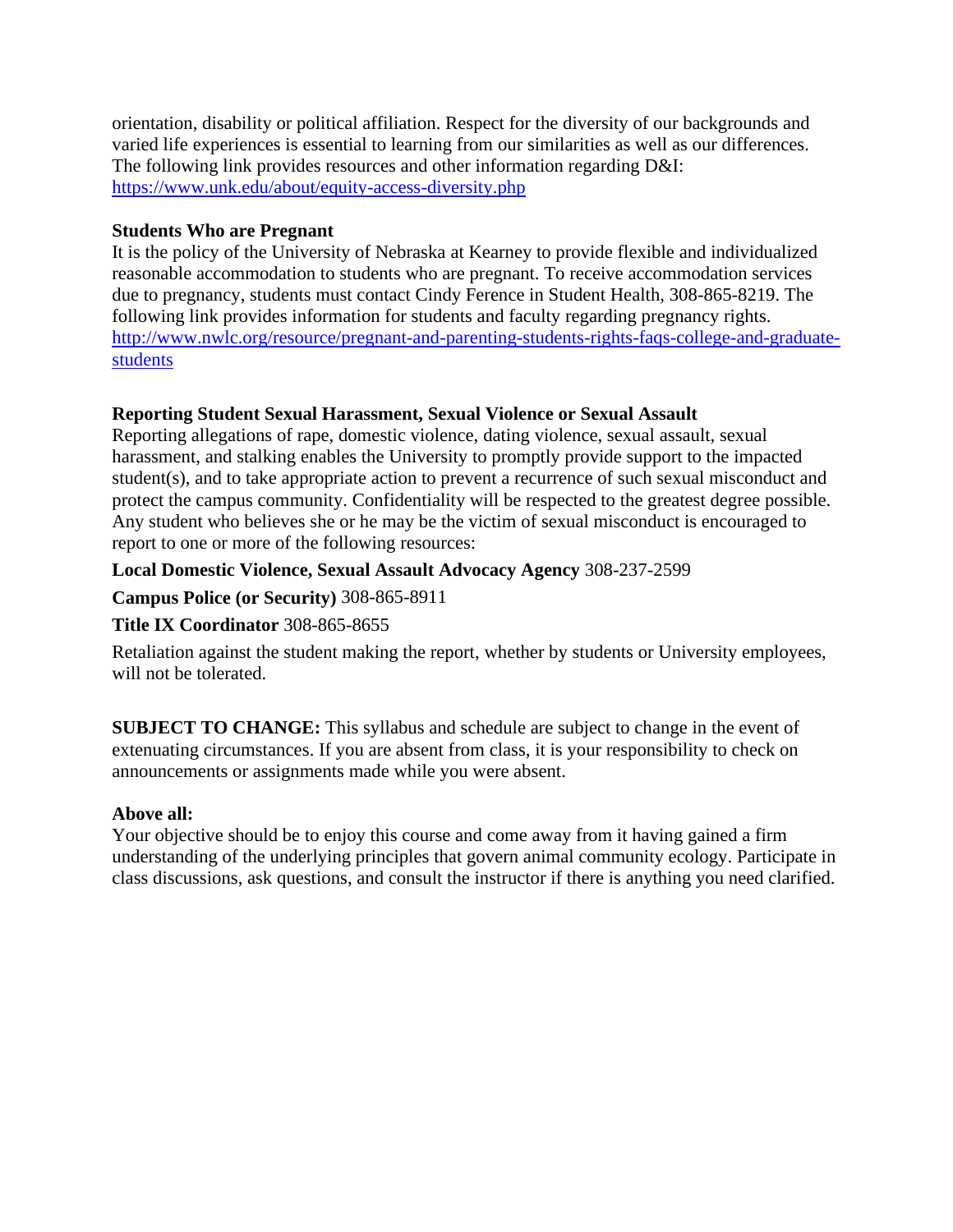orientation, disability or political affiliation. Respect for the diversity of our backgrounds and varied life experiences is essential to learning from our similarities as well as our differences. The following link provides resources and other information regarding D&I: <https://www.unk.edu/about/equity-access-diversity.php>

### **Students Who are Pregnant**

It is the policy of the University of Nebraska at Kearney to provide flexible and individualized reasonable accommodation to students who are pregnant. To receive accommodation services due to pregnancy, students must contact Cindy Ference in Student Health, 308-865-8219. The following link provides information for students and faculty regarding pregnancy rights. [http://www.nwlc.org/resource/pregnant-and-parenting-students-rights-faqs-college-and-graduate](https://urldefense.proofpoint.com/v2/url?u=http-3A__www.nwlc.org_resource_pregnant-2Dand-2Dparenting-2Dstudents-2Drights-2Dfaqs-2Dcollege-2Dand-2Dgraduate-2Dstudents&d=DwMFAg&c=Cu5g146wZdoqVuKpTNsYHeFX_rg6kWhlkLF8Eft-wwo&r=BJkIhAaMtWY7PlqIhIOyVw&m=RgBL3s2VNHfvD5ReMK2q_PhwYU8dbEt1vxs1BO4WkpQ&s=MmB91XAzaW-E7UPMXPGx9tWJQbTWJYyYzM8gLjhEzQ0&e=)[students](https://urldefense.proofpoint.com/v2/url?u=http-3A__www.nwlc.org_resource_pregnant-2Dand-2Dparenting-2Dstudents-2Drights-2Dfaqs-2Dcollege-2Dand-2Dgraduate-2Dstudents&d=DwMFAg&c=Cu5g146wZdoqVuKpTNsYHeFX_rg6kWhlkLF8Eft-wwo&r=BJkIhAaMtWY7PlqIhIOyVw&m=RgBL3s2VNHfvD5ReMK2q_PhwYU8dbEt1vxs1BO4WkpQ&s=MmB91XAzaW-E7UPMXPGx9tWJQbTWJYyYzM8gLjhEzQ0&e=)

# **Reporting Student Sexual Harassment, Sexual Violence or Sexual Assault**

Reporting allegations of rape, domestic violence, dating violence, sexual assault, sexual harassment, and stalking enables the University to promptly provide support to the impacted student(s), and to take appropriate action to prevent a recurrence of such sexual misconduct and protect the campus community. Confidentiality will be respected to the greatest degree possible. Any student who believes she or he may be the victim of sexual misconduct is encouraged to report to one or more of the following resources:

# **Local Domestic Violence, Sexual Assault Advocacy Agency** 308-237-2599

**Campus Police (or Security)** 308-865-8911

### **Title IX Coordinator** 308-865-8655

Retaliation against the student making the report, whether by students or University employees, will not be tolerated.

**SUBJECT TO CHANGE:** This syllabus and schedule are subject to change in the event of extenuating circumstances. If you are absent from class, it is your responsibility to check on announcements or assignments made while you were absent.

### **Above all:**

Your objective should be to enjoy this course and come away from it having gained a firm understanding of the underlying principles that govern animal community ecology. Participate in class discussions, ask questions, and consult the instructor if there is anything you need clarified.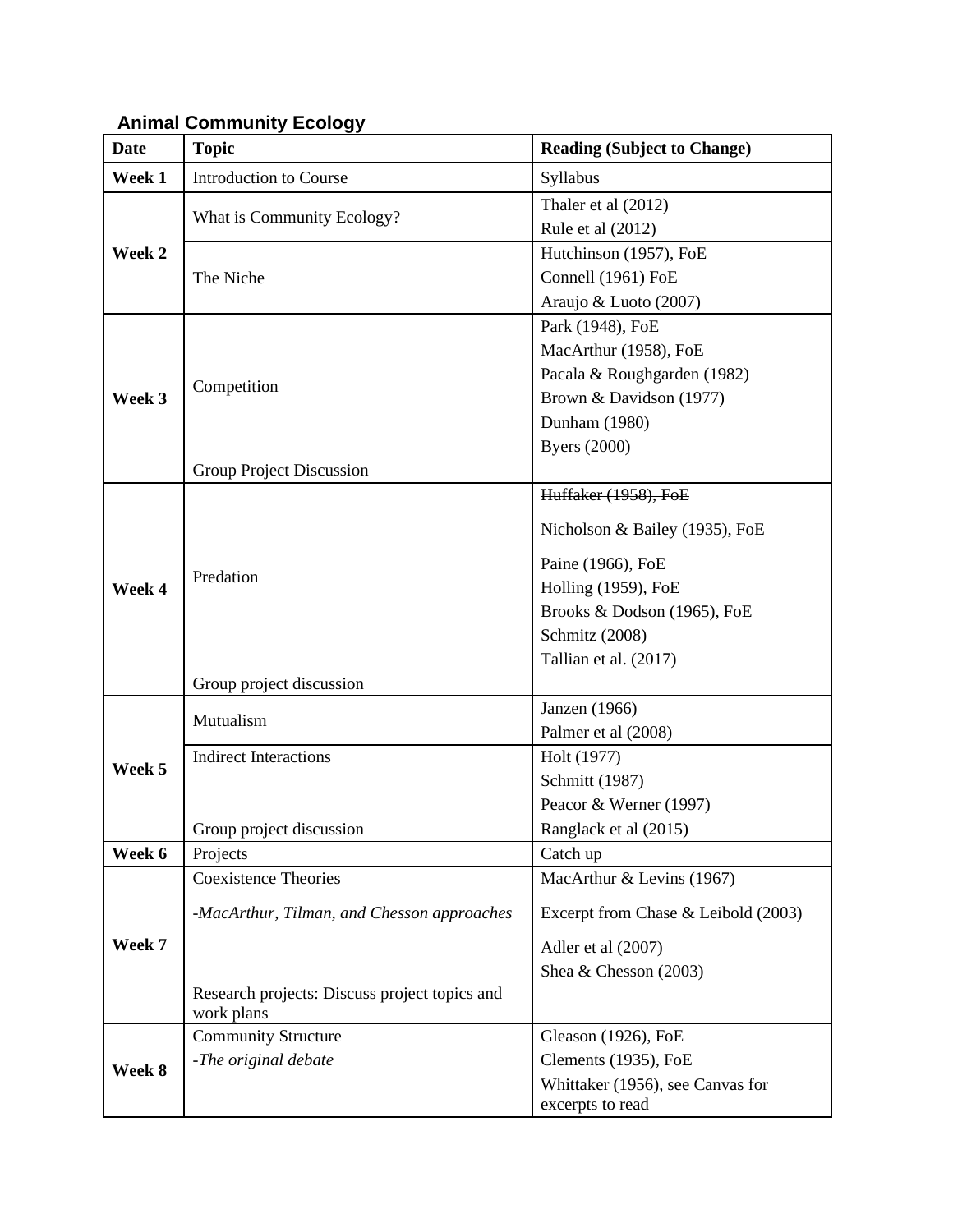# **Animal Community Ecology**

| <b>Date</b> | <b>Topic</b>                                                | <b>Reading (Subject to Change)</b>  |
|-------------|-------------------------------------------------------------|-------------------------------------|
| Week 1      | <b>Introduction to Course</b>                               | Syllabus                            |
| Week 2      | What is Community Ecology?                                  | Thaler et al (2012)                 |
|             |                                                             | Rule et al (2012)                   |
|             | The Niche                                                   | Hutchinson (1957), FoE              |
|             |                                                             | Connell (1961) FoE                  |
|             |                                                             | Araujo & Luoto (2007)               |
| Week 3      | Competition                                                 | Park (1948), FoE                    |
|             |                                                             | MacArthur (1958), FoE               |
|             |                                                             | Pacala & Roughgarden (1982)         |
|             |                                                             | Brown & Davidson (1977)             |
|             |                                                             | Dunham (1980)                       |
|             |                                                             | <b>Byers</b> (2000)                 |
|             | Group Project Discussion                                    |                                     |
|             |                                                             | Huffaker (1958), FoE                |
|             |                                                             | Nicholson & Bailey (1935), FoE      |
|             | Predation                                                   |                                     |
|             |                                                             | Paine (1966), FoE                   |
| Week 4      |                                                             | Holling (1959), FoE                 |
|             |                                                             | Brooks & Dodson (1965), FoE         |
|             |                                                             | Schmitz (2008)                      |
|             |                                                             | Tallian et al. (2017)               |
|             | Group project discussion                                    |                                     |
|             | Mutualism                                                   | Janzen (1966)                       |
|             |                                                             | Palmer et al (2008)                 |
| Week 5      | <b>Indirect Interactions</b>                                | Holt (1977)                         |
|             |                                                             | Schmitt (1987)                      |
|             |                                                             | Peacor & Werner (1997)              |
|             | Group project discussion                                    | Ranglack et al (2015)               |
| Week 6      | Projects                                                    | Catch up                            |
|             | <b>Coexistence Theories</b>                                 | MacArthur & Levins (1967)           |
| Week 7      | -MacArthur, Tilman, and Chesson approaches                  | Excerpt from Chase & Leibold (2003) |
|             |                                                             |                                     |
|             |                                                             | Adler et al (2007)                  |
|             |                                                             | Shea & Chesson (2003)               |
|             | Research projects: Discuss project topics and<br>work plans |                                     |
| Week 8      | <b>Community Structure</b>                                  | Gleason (1926), FoE                 |
|             | -The original debate                                        | Clements (1935), FoE                |
|             |                                                             | Whittaker (1956), see Canvas for    |
|             |                                                             | excerpts to read                    |